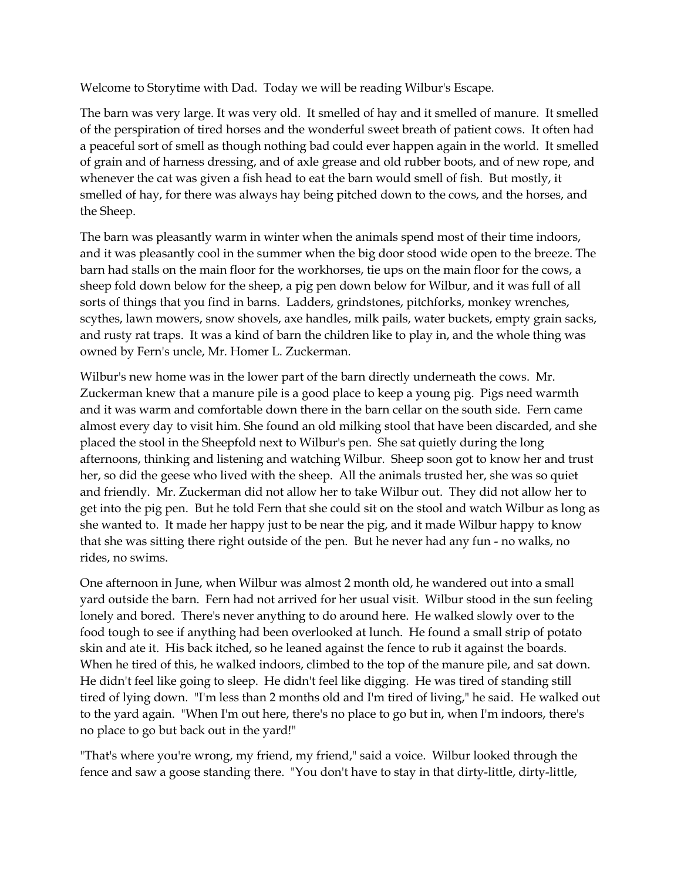Welcome to Storytime with Dad. Today we will be reading Wilbur's Escape.

The barn was very large. It was very old. It smelled of hay and it smelled of manure. It smelled of the perspiration of tired horses and the wonderful sweet breath of patient cows. It often had a peaceful sort of smell as though nothing bad could ever happen again in the world. It smelled of grain and of harness dressing, and of axle grease and old rubber boots, and of new rope, and whenever the cat was given a fish head to eat the barn would smell of fish. But mostly, it smelled of hay, for there was always hay being pitched down to the cows, and the horses, and the Sheep.

The barn was pleasantly warm in winter when the animals spend most of their time indoors, and it was pleasantly cool in the summer when the big door stood wide open to the breeze. The barn had stalls on the main floor for the workhorses, tie ups on the main floor for the cows, a sheep fold down below for the sheep, a pig pen down below for Wilbur, and it was full of all sorts of things that you find in barns. Ladders, grindstones, pitchforks, monkey wrenches, scythes, lawn mowers, snow shovels, axe handles, milk pails, water buckets, empty grain sacks, and rusty rat traps. It was a kind of barn the children like to play in, and the whole thing was owned by Fern's uncle, Mr. Homer L. Zuckerman.

Wilbur's new home was in the lower part of the barn directly underneath the cows. Mr. Zuckerman knew that a manure pile is a good place to keep a young pig. Pigs need warmth and it was warm and comfortable down there in the barn cellar on the south side. Fern came almost every day to visit him. She found an old milking stool that have been discarded, and she placed the stool in the Sheepfold next to Wilbur's pen. She sat quietly during the long afternoons, thinking and listening and watching Wilbur. Sheep soon got to know her and trust her, so did the geese who lived with the sheep. All the animals trusted her, she was so quiet and friendly. Mr. Zuckerman did not allow her to take Wilbur out. They did not allow her to get into the pig pen. But he told Fern that she could sit on the stool and watch Wilbur as long as she wanted to. It made her happy just to be near the pig, and it made Wilbur happy to know that she was sitting there right outside of the pen. But he never had any fun - no walks, no rides, no swims.

One afternoon in June, when Wilbur was almost 2 month old, he wandered out into a small yard outside the barn. Fern had not arrived for her usual visit. Wilbur stood in the sun feeling lonely and bored. There's never anything to do around here. He walked slowly over to the food tough to see if anything had been overlooked at lunch. He found a small strip of potato skin and ate it. His back itched, so he leaned against the fence to rub it against the boards. When he tired of this, he walked indoors, climbed to the top of the manure pile, and sat down. He didn't feel like going to sleep. He didn't feel like digging. He was tired of standing still tired of lying down. "I'm less than 2 months old and I'm tired of living," he said. He walked out to the yard again. "When I'm out here, there's no place to go but in, when I'm indoors, there's no place to go but back out in the yard!"

"That's where you're wrong, my friend, my friend," said a voice. Wilbur looked through the fence and saw a goose standing there. "You don't have to stay in that dirty-little, dirty-little,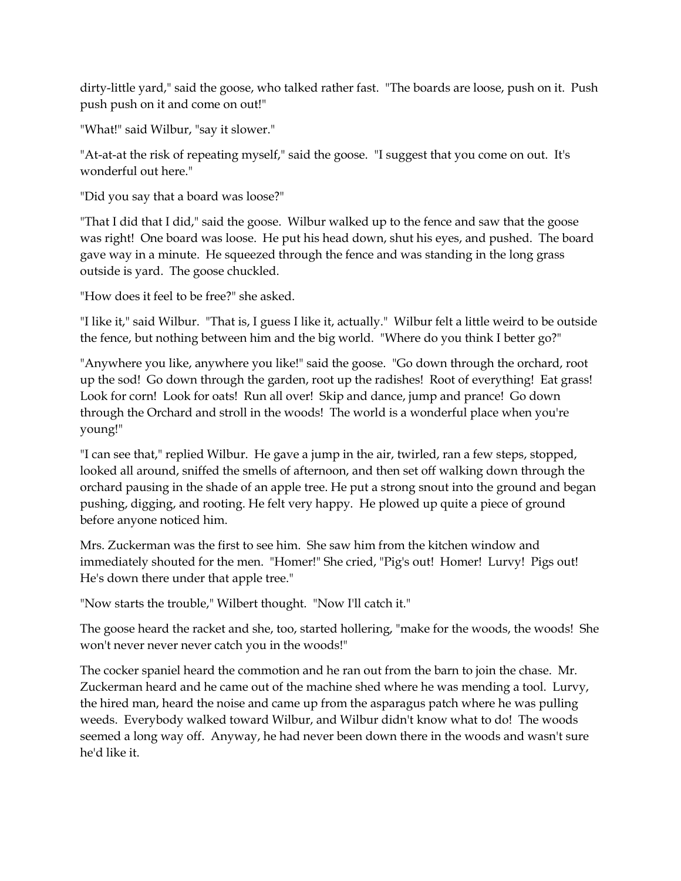dirty-little yard," said the goose, who talked rather fast. "The boards are loose, push on it. Push push push on it and come on out!"

"What!" said Wilbur, "say it slower."

"At-at-at the risk of repeating myself," said the goose. "I suggest that you come on out. It's wonderful out here."

"Did you say that a board was loose?"

"That I did that I did," said the goose. Wilbur walked up to the fence and saw that the goose was right! One board was loose. He put his head down, shut his eyes, and pushed. The board gave way in a minute. He squeezed through the fence and was standing in the long grass outside is yard. The goose chuckled.

"How does it feel to be free?" she asked.

"I like it," said Wilbur. "That is, I guess I like it, actually." Wilbur felt a little weird to be outside the fence, but nothing between him and the big world. "Where do you think I better go?"

"Anywhere you like, anywhere you like!" said the goose. "Go down through the orchard, root up the sod! Go down through the garden, root up the radishes! Root of everything! Eat grass! Look for corn! Look for oats! Run all over! Skip and dance, jump and prance! Go down through the Orchard and stroll in the woods! The world is a wonderful place when you're young!"

"I can see that," replied Wilbur. He gave a jump in the air, twirled, ran a few steps, stopped, looked all around, sniffed the smells of afternoon, and then set off walking down through the orchard pausing in the shade of an apple tree. He put a strong snout into the ground and began pushing, digging, and rooting. He felt very happy. He plowed up quite a piece of ground before anyone noticed him.

Mrs. Zuckerman was the first to see him. She saw him from the kitchen window and immediately shouted for the men. "Homer!" She cried, "Pig's out! Homer! Lurvy! Pigs out! He's down there under that apple tree."

"Now starts the trouble," Wilbert thought. "Now I'll catch it."

The goose heard the racket and she, too, started hollering, "make for the woods, the woods! She won't never never never catch you in the woods!"

The cocker spaniel heard the commotion and he ran out from the barn to join the chase. Mr. Zuckerman heard and he came out of the machine shed where he was mending a tool. Lurvy, the hired man, heard the noise and came up from the asparagus patch where he was pulling weeds. Everybody walked toward Wilbur, and Wilbur didn't know what to do! The woods seemed a long way off. Anyway, he had never been down there in the woods and wasn't sure he'd like it.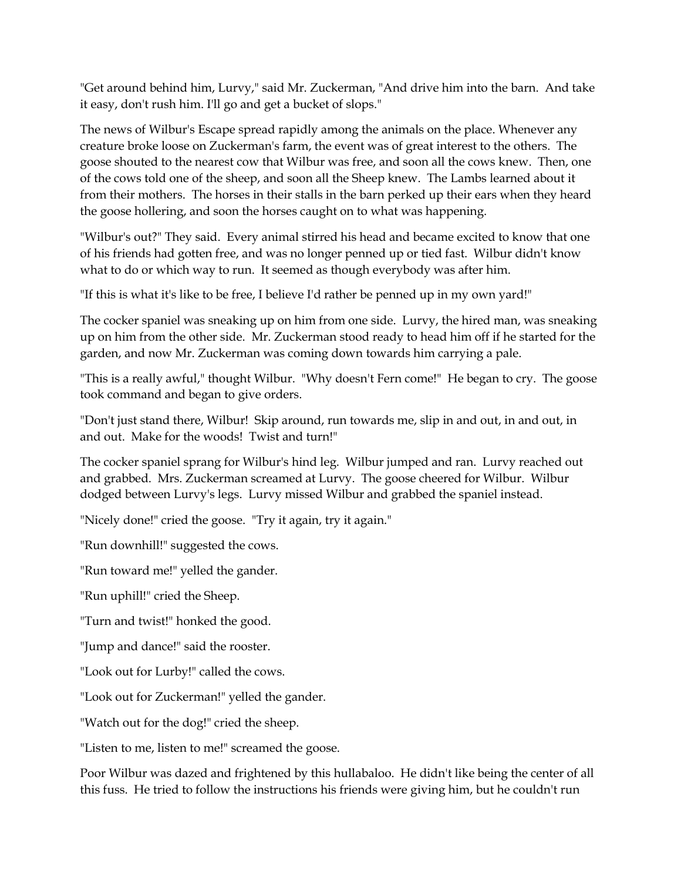"Get around behind him, Lurvy," said Mr. Zuckerman, "And drive him into the barn. And take it easy, don't rush him. I'll go and get a bucket of slops."

The news of Wilbur's Escape spread rapidly among the animals on the place. Whenever any creature broke loose on Zuckerman's farm, the event was of great interest to the others. The goose shouted to the nearest cow that Wilbur was free, and soon all the cows knew. Then, one of the cows told one of the sheep, and soon all the Sheep knew. The Lambs learned about it from their mothers. The horses in their stalls in the barn perked up their ears when they heard the goose hollering, and soon the horses caught on to what was happening.

"Wilbur's out?" They said. Every animal stirred his head and became excited to know that one of his friends had gotten free, and was no longer penned up or tied fast. Wilbur didn't know what to do or which way to run. It seemed as though everybody was after him.

"If this is what it's like to be free, I believe I'd rather be penned up in my own yard!"

The cocker spaniel was sneaking up on him from one side. Lurvy, the hired man, was sneaking up on him from the other side. Mr. Zuckerman stood ready to head him off if he started for the garden, and now Mr. Zuckerman was coming down towards him carrying a pale.

"This is a really awful," thought Wilbur. "Why doesn't Fern come!" He began to cry. The goose took command and began to give orders.

"Don't just stand there, Wilbur! Skip around, run towards me, slip in and out, in and out, in and out. Make for the woods! Twist and turn!"

The cocker spaniel sprang for Wilbur's hind leg. Wilbur jumped and ran. Lurvy reached out and grabbed. Mrs. Zuckerman screamed at Lurvy. The goose cheered for Wilbur. Wilbur dodged between Lurvy's legs. Lurvy missed Wilbur and grabbed the spaniel instead.

"Nicely done!" cried the goose. "Try it again, try it again."

"Run downhill!" suggested the cows.

"Run toward me!" yelled the gander.

"Run uphill!" cried the Sheep.

"Turn and twist!" honked the good.

"Jump and dance!" said the rooster.

"Look out for Lurby!" called the cows.

"Look out for Zuckerman!" yelled the gander.

"Watch out for the dog!" cried the sheep.

"Listen to me, listen to me!" screamed the goose.

Poor Wilbur was dazed and frightened by this hullabaloo. He didn't like being the center of all this fuss. He tried to follow the instructions his friends were giving him, but he couldn't run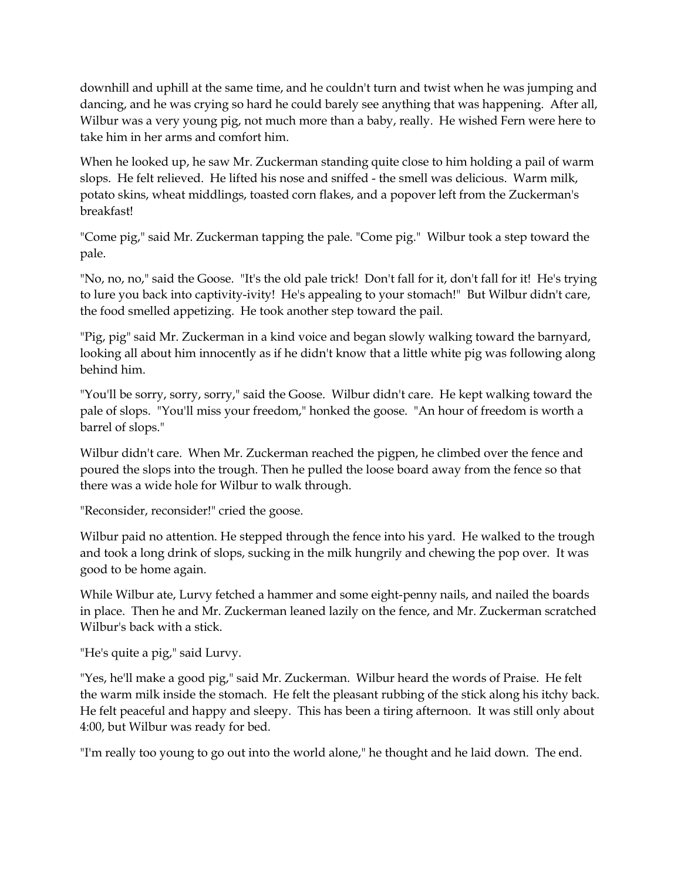downhill and uphill at the same time, and he couldn't turn and twist when he was jumping and dancing, and he was crying so hard he could barely see anything that was happening. After all, Wilbur was a very young pig, not much more than a baby, really. He wished Fern were here to take him in her arms and comfort him.

When he looked up, he saw Mr. Zuckerman standing quite close to him holding a pail of warm slops. He felt relieved. He lifted his nose and sniffed - the smell was delicious. Warm milk, potato skins, wheat middlings, toasted corn flakes, and a popover left from the Zuckerman's breakfast!

"Come pig," said Mr. Zuckerman tapping the pale. "Come pig." Wilbur took a step toward the pale.

"No, no, no," said the Goose. "It's the old pale trick! Don't fall for it, don't fall for it! He's trying to lure you back into captivity-ivity! He's appealing to your stomach!" But Wilbur didn't care, the food smelled appetizing. He took another step toward the pail.

"Pig, pig" said Mr. Zuckerman in a kind voice and began slowly walking toward the barnyard, looking all about him innocently as if he didn't know that a little white pig was following along behind him.

"You'll be sorry, sorry, sorry," said the Goose. Wilbur didn't care. He kept walking toward the pale of slops. "You'll miss your freedom," honked the goose. "An hour of freedom is worth a barrel of slops."

Wilbur didn't care. When Mr. Zuckerman reached the pigpen, he climbed over the fence and poured the slops into the trough. Then he pulled the loose board away from the fence so that there was a wide hole for Wilbur to walk through.

"Reconsider, reconsider!" cried the goose.

Wilbur paid no attention. He stepped through the fence into his yard. He walked to the trough and took a long drink of slops, sucking in the milk hungrily and chewing the pop over. It was good to be home again.

While Wilbur ate, Lurvy fetched a hammer and some eight-penny nails, and nailed the boards in place. Then he and Mr. Zuckerman leaned lazily on the fence, and Mr. Zuckerman scratched Wilbur's back with a stick.

"He's quite a pig," said Lurvy.

"Yes, he'll make a good pig," said Mr. Zuckerman. Wilbur heard the words of Praise. He felt the warm milk inside the stomach. He felt the pleasant rubbing of the stick along his itchy back. He felt peaceful and happy and sleepy. This has been a tiring afternoon. It was still only about 4:00, but Wilbur was ready for bed.

"I'm really too young to go out into the world alone," he thought and he laid down. The end.